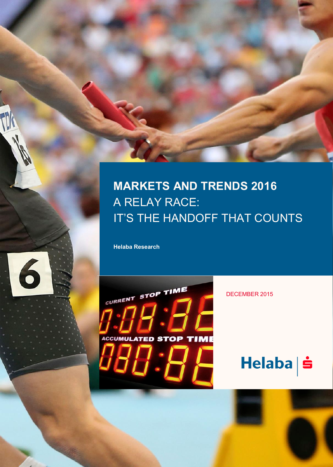## <span id="page-0-0"></span>**MARKETS AND TRENDS 2016** A RELAY RACE: IT'S THE HANDOFF THAT COUNTS

**Helaba Research**

6



DECEMBER 2015

HEL ABA RESEARCH · DECEMBER 2 01 5 · © HEL ABA 1

# Helaba | s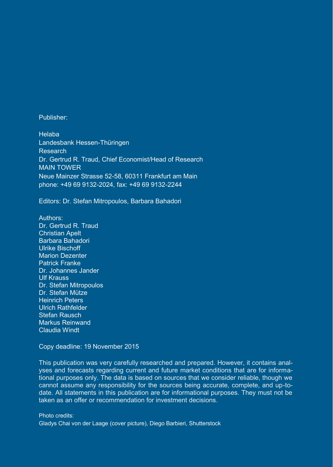Publisher:

Helaba Landesbank Hessen-Thüringen Research Dr. Gertrud R. Traud, Chief Economist/Head of Research MAIN TOWER Neue Mainzer Strasse 52-58, 60311 Frankfurt am Main phone: +49 69 9132-2024, fax: +49 69 9132-2244

Editors: Dr. Stefan Mitropoulos, Barbara Bahadori

Authors: Dr. Gertrud R. Traud Christian Apelt Barbara Bahadori Ulrike Bischoff Marion Dezenter Patrick Franke Dr. Johannes Jander Ulf Krauss Dr. Stefan Mitropoulos Dr. Stefan Mütze Heinrich Peters Ulrich Rathfelder Stefan Rausch Markus Reinwand Claudia Windt

Copy deadline: 19 November 2015

This publication was very carefully researched and prepared. However, it contains analyses and forecasts regarding current and future market conditions that are for informational purposes only. The data is based on sources that we consider reliable, though we cannot assume any responsibility for the sources being accurate, complete, and up-todate. All statements in this publication are for informational purposes. They must not be taken as an offer or recommendation for investment decisions.

Photo credits: Gladys Chai von der Laage (cover picture), Diego Barbieri, Shutterstock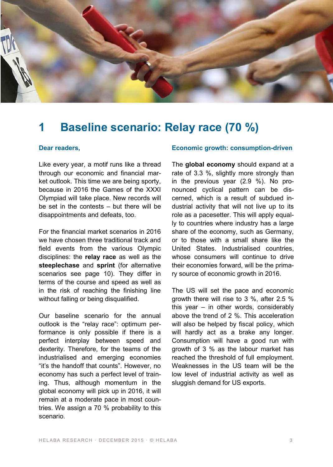

## **1 Baseline scenario: Relay race (70 %)**

#### **Dear readers,**

Like every year, a motif runs like a thread through our economic and financial market outlook. This time we are being sporty, because in 2016 the Games of the XXXI Olympiad will take place. New records will be set in the contests – but there will be disappointments and defeats, too.

For the financial market scenarios in 2016 we have chosen three traditional track and field events from the various Olympic disciplines: the **relay race** as well as the **steeplechase** and **sprint** (for alternative scenarios see page 10). They differ in terms of the course and speed as well as in the risk of reaching the finishing line without falling or being disqualified.

Our baseline scenario for the annual outlook is the "relay race": optimum performance is only possible if there is a perfect interplay between speed and dexterity. Therefore, for the teams of the industrialised and emerging economies "it's the handoff that counts". However, no economy has such a perfect level of training. Thus, although momentum in the global economy will pick up in 2016, it will remain at a moderate pace in most countries. We assign a 70 % probability to this scenario.

#### **Economic growth: consumption-driven**

The **global economy** should expand at a rate of 3.3 %, slightly more strongly than in the previous year (2.9 %). No pronounced cyclical pattern can be discerned, which is a result of subdued industrial activity that will not live up to its role as a pacesetter. This will apply equally to countries where industry has a large share of the economy, such as Germany, or to those with a small share like the United States. Industrialised countries, whose consumers will continue to drive their economies forward, will be the primary source of economic growth in 2016.

The US will set the pace and economic growth there will rise to 3 %, after 2.5 % this year – in other words, considerably above the trend of 2 %. This acceleration will also be helped by fiscal policy, which will hardly act as a brake any longer. Consumption will have a good run with growth of 3 % as the labour market has reached the threshold of full employment. Weaknesses in the US team will be the low level of industrial activity as well as sluggish demand for US exports.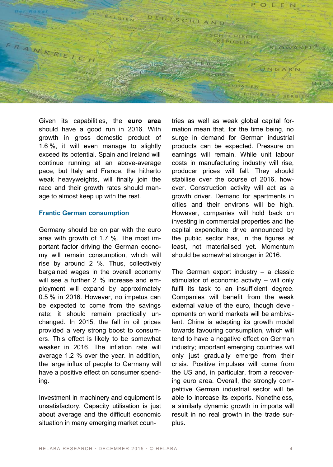

Given its capabilities, the **euro area** should have a good run in 2016. With growth in gross domestic product of 1.6 %, it will even manage to slightly exceed its potential. Spain and Ireland will continue running at an above-average pace, but Italy and France, the hitherto weak heavyweights, will finally join the race and their growth rates should manage to almost keep up with the rest.

#### **Frantic German consumption**

Germany should be on par with the euro area with growth of 1.7 %. The most important factor driving the German economy will remain consumption, which will rise by around 2 %. Thus, collectively bargained wages in the overall economy will see a further 2 % increase and employment will expand by approximately 0.5 % in 2016. However, no impetus can be expected to come from the savings rate; it should remain practically unchanged. In 2015, the fall in oil prices provided a very strong boost to consumers. This effect is likely to be somewhat weaker in 2016. The inflation rate will average 1.2 % over the year. In addition, the large influx of people to Germany will have a positive effect on consumer spending.

Investment in machinery and equipment is unsatisfactory. Capacity utilisation is just about average and the difficult economic situation in many emerging market countries as well as weak global capital formation mean that, for the time being, no surge in demand for German industrial products can be expected. Pressure on earnings will remain. While unit labour costs in manufacturing industry will rise, producer prices will fall. They should stabilise over the course of 2016, however. Construction activity will act as a growth driver. Demand for apartments in cities and their environs will be high. However, companies will hold back on investing in commercial properties and the capital expenditure drive announced by the public sector has, in the figures at least, not materialised yet. Momentum should be somewhat stronger in 2016.

The German export industry – a classic stimulator of economic activity – will only fulfil its task to an insufficient degree. Companies will benefit from the weak external value of the euro, though developments on world markets will be ambivalent. China is adapting its growth model towards favouring consumption, which will tend to have a negative effect on German industry; important emerging countries will only just gradually emerge from their crisis. Positive impulses will come from the US and, in particular, from a recovering euro area. Overall, the strongly competitive German industrial sector will be able to increase its exports. Nonetheless, a similarly dynamic growth in imports will result in no real growth in the trade surplus.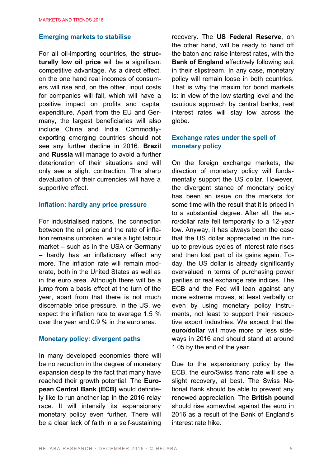#### **Emerging markets to stabilise**

For all oil-importing countries, the **structurally low oil price** will be a significant competitive advantage. As a direct effect, on the one hand real incomes of consumers will rise and, on the other, input costs for companies will fall, which will have a positive impact on profits and capital expenditure. Apart from the EU and Germany, the largest beneficiaries will also include China and India. Commodityexporting emerging countries should not see any further decline in 2016. **Brazil** and **Russia** will manage to avoid a further deterioration of their situations and will only see a slight contraction. The sharp devaluation of their currencies will have a supportive effect.

#### **Inflation: hardly any price pressure**

For industrialised nations, the connection between the oil price and the rate of inflation remains unbroken, while a tight labour market – such as in the USA or Germany – hardly has an inflationary effect any more. The inflation rate will remain moderate, both in the United States as well as in the euro area. Although there will be a jump from a basis effect at the turn of the year, apart from that there is not much discernable price pressure. In the US, we expect the inflation rate to average 1.5 % over the year and 0.9 % in the euro area.

#### **Monetary policy: divergent paths**

In many developed economies there will be no reduction in the degree of monetary expansion despite the fact that many have reached their growth potential. The **European Central Bank (ECB)** would definitely like to run another lap in the 2016 relay race. It will intensify its expansionary monetary policy even further. There will be a clear lack of faith in a self-sustaining recovery. The **US Federal Reserve**, on the other hand, will be ready to hand off the baton and raise interest rates, with the **Bank of England** effectively following suit in their slipstream. In any case, monetary policy will remain loose in both countries. That is why the maxim for bond markets is: in view of the low starting level and the cautious approach by central banks, real interest rates will stay low across the globe.

#### **Exchange rates under the spell of monetary policy**

On the foreign exchange markets, the direction of monetary policy will fundamentally support the US dollar. However, the divergent stance of monetary policy has been an issue on the markets for some time with the result that it is priced in to a substantial degree. After all, the euro/dollar rate fell temporarily to a 12-year low. Anyway, it has always been the case that the US dollar appreciated in the runup to previous cycles of interest rate rises and then lost part of its gains again. Today, the US dollar is already significantly overvalued in terms of purchasing power parities or real exchange rate indices. The ECB and the Fed will lean against any more extreme moves, at least verbally or even by using monetary policy instruments, not least to support their respective export industries. We expect that the **euro/dollar** will move more or less sideways in 2016 and should stand at around 1.05 by the end of the year.

Due to the expansionary policy by the ECB, the euro/Swiss franc rate will see a slight recovery, at best. The Swiss National Bank should be able to prevent any renewed appreciation. The **British pound** should rise somewhat against the euro in 2016 as a result of the Bank of England's interest rate hike.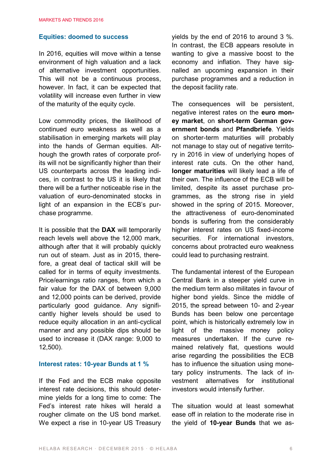#### **Equities: doomed to success**

In 2016, equities will move within a tense environment of high valuation and a lack of alternative investment opportunities. This will not be a continuous process, however. In fact, it can be expected that volatility will increase even further in view of the maturity of the equity cycle.

Low commodity prices, the likelihood of continued euro weakness as well as a stabilisation in emerging markets will play into the hands of German equities. Although the growth rates of corporate profits will not be significantly higher than their US counterparts across the leading indices, in contrast to the US it is likely that there will be a further noticeable rise in the valuation of euro-denominated stocks in light of an expansion in the ECB's purchase programme.

It is possible that the **DAX** will temporarily reach levels well above the 12,000 mark, although after that it will probably quickly run out of steam. Just as in 2015, therefore, a great deal of tactical skill will be called for in terms of equity investments. Price/earnings ratio ranges, from which a fair value for the DAX of between 9,000 and 12,000 points can be derived, provide particularly good guidance. Any significantly higher levels should be used to reduce equity allocation in an anti-cyclical manner and any possible dips should be used to increase it (DAX range: 9,000 to 12,500).

#### **Interest rates: 10-year Bunds at 1 %**

If the Fed and the ECB make opposite interest rate decisions, this should determine yields for a long time to come: The Fed's interest rate hikes will herald a rougher climate on the US bond market. We expect a rise in 10-year US Treasury yields by the end of 2016 to around 3 %. In contrast, the ECB appears resolute in wanting to give a massive boost to the economy and inflation. They have signalled an upcoming expansion in their purchase programmes and a reduction in the deposit facility rate.

The consequences will be persistent, negative interest rates on the **euro money market**, on **short-term German government bonds** and **Pfandbriefe**. Yields on shorter-term maturities will probably not manage to stay out of negative territory in 2016 in view of underlying hopes of interest rate cuts. On the other hand, **longer maturities** will likely lead a life of their own. The influence of the ECB will be limited, despite its asset purchase programmes, as the strong rise in yield showed in the spring of 2015. Moreover, the attractiveness of euro-denominated bonds is suffering from the considerably higher interest rates on US fixed-income securities. For international investors, concerns about protracted euro weakness could lead to purchasing restraint.

The fundamental interest of the European Central Bank in a steeper yield curve in the medium term also militates in favour of higher bond yields. Since the middle of 2015, the spread between 10- and 2-year Bunds has been below one percentage point, which is historically extremely low in light of the massive money policy measures undertaken. If the curve remained relatively flat, questions would arise regarding the possibilities the ECB has to influence the situation using monetary policy instruments. The lack of investment alternatives for institutional investors would intensify further.

The situation would at least somewhat ease off in relation to the moderate rise in the yield of **10-year Bunds** that we as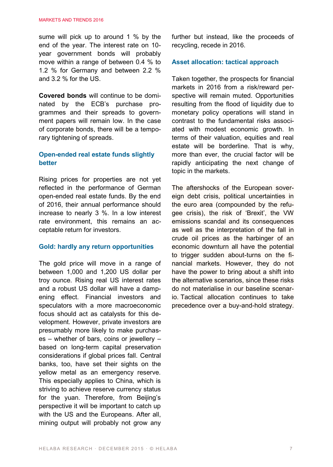sume will pick up to around 1 % by the end of the year. The interest rate on 10 year government bonds will probably move within a range of between 0.4 % to 1.2 % for Germany and between 2.2 % and 3.2 % for the US.

**Covered bonds** will continue to be dominated by the ECB's purchase programmes and their spreads to government papers will remain low. In the case of corporate bonds, there will be a temporary tightening of spreads.

#### **Open-ended real estate funds slightly better**

Rising prices for properties are not yet reflected in the performance of German open-ended real estate funds. By the end of 2016, their annual performance should increase to nearly 3 %. In a low interest rate environment, this remains an acceptable return for investors.

#### **Gold: hardly any return opportunities**

The gold price will move in a range of between 1,000 and 1,200 US dollar per troy ounce. Rising real US interest rates and a robust US dollar will have a dampening effect. Financial investors and speculators with a more macroeconomic focus should act as catalysts for this development. However, private investors are presumably more likely to make purchases – whether of bars, coins or jewellery – based on long-term capital preservation considerations if global prices fall. Central banks, too, have set their sights on the yellow metal as an emergency reserve. This especially applies to China, which is striving to achieve reserve currency status for the yuan. Therefore, from Beijing's perspective it will be important to catch up with the US and the Europeans. After all, mining output will probably not grow any further but instead, like the proceeds of recycling, recede in 2016.

#### **Asset allocation: tactical approach**

Taken together, the prospects for financial markets in 2016 from a risk/reward perspective will remain muted. Opportunities resulting from the flood of liquidity due to monetary policy operations will stand in contrast to the fundamental risks associated with modest economic growth. In terms of their valuation, equities and real estate will be borderline. That is why, more than ever, the crucial factor will be rapidly anticipating the next change of topic in the markets.

The aftershocks of the European sovereign debt crisis, political uncertainties in the euro area (compounded by the refugee crisis), the risk of 'Brexit', the VW emissions scandal and its consequences as well as the interpretation of the fall in crude oil prices as the harbinger of an economic downturn all have the potential to trigger sudden about-turns on the financial markets. However, they do not have the power to bring about a shift into the alternative scenarios, since these risks do not materialise in our baseline scenario. Tactical allocation continues to take precedence over a buy-and-hold strategy.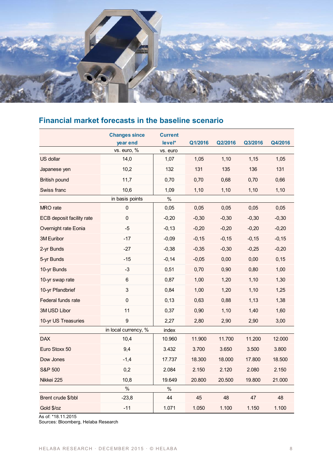

#### **Financial market forecasts in the baseline scenario**

|                           | <b>Changes since</b><br>year end | <b>Current</b><br>level* | Q1/2016 | Q2/2016  | Q3/2016 | Q4/2016 |
|---------------------------|----------------------------------|--------------------------|---------|----------|---------|---------|
|                           | vs. euro, %                      | vs. euro                 |         |          |         |         |
| US dollar                 | 14,0                             | 1,07                     | 1,05    | 1,10     | 1,15    | 1,05    |
| Japanese yen              | 10,2                             | 132                      | 131     | 135      | 136     | 131     |
| <b>British pound</b>      | 11,7                             | 0,70                     | 0,70    | 0,68     | 0,70    | 0,66    |
| Swiss franc               | 10,6<br>1,09                     |                          | 1,10    | 1,10     | 1,10    | 1,10    |
|                           | in basis points                  | %                        |         |          |         |         |
| MRO rate                  | 0                                | 0,05                     | 0,05    | 0,05     | 0,05    | 0,05    |
| ECB deposit facility rate | 0                                | $-0,20$                  | $-0,30$ | $-0,30$  | $-0,30$ | $-0,30$ |
| Overnight rate Eonia      | $-5$                             | $-0,13$                  | $-0,20$ | $-0,20$  | $-0,20$ | $-0,20$ |
| 3M Euribor                | $-17$                            | $-0.09$                  | $-0,15$ | $-0, 15$ | $-0,15$ | $-0,15$ |
| 2-yr Bunds                | $-27$                            | $-0,38$                  | $-0.35$ | $-0,30$  | $-0.25$ | $-0,20$ |
| 5-yr Bunds                | $-15$                            | $-0,14$                  | $-0.05$ | 0,00     | 0,00    | 0,15    |
| 10-yr Bunds               | $-3$                             | 0,51                     | 0,70    | 0,90     | 0,80    | 1,00    |
| 10-yr swap rate           | 6                                | 0,87                     | 1,00    | 1,20     | 1,10    | 1,30    |
| 10-yr Pfandbrief          | 3                                | 0,84                     | 1,00    | 1,20     | 1,10    | 1,25    |
| Federal funds rate        | 0                                | 0,13                     | 0,63    | 0,88     | 1,13    | 1,38    |
| 3M USD Libor              | 11                               | 0,37                     | 0,90    | 1,10     | 1,40    | 1,60    |
| 10-yr US Treasuries       | 9                                | 2,27                     | 2,80    | 2,90     | 2,90    | 3,00    |
|                           | in local currency, %             | index                    |         |          |         |         |
| <b>DAX</b>                | 10,4                             | 10.960                   | 11.900  | 11.700   | 11.200  | 12.000  |
| Euro Stoxx 50             | 9,4                              | 3.432                    | 3.700   | 3.650    | 3.500   | 3.800   |
| Dow Jones                 | $-1,4$                           | 17.737                   | 18.300  | 18.000   | 17.800  | 18.500  |
| S&P 500                   | 0,2                              | 2.084                    | 2.150   | 2.120    | 2.080   | 2.150   |
| Nikkei 225                | 10,8                             | 19.649                   | 20.800  | 20.500   | 19.800  | 21.000  |
|                           | %                                | %                        |         |          |         |         |
| Brent crude \$/bbl        | $-23,8$                          | 44                       | 45      | 48       | 47      | 48      |
| Gold \$/oz                | $-11$                            | 1.071                    | 1.050   | 1.100    | 1.150   | 1.100   |

As of: \*18.11.2015 Sources: Bloomberg, Helaba Research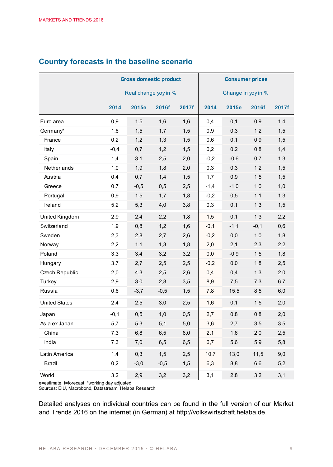|                      | <b>Gross domestic product</b> |        |        |       | <b>Consumer prices</b> |        |        |       |
|----------------------|-------------------------------|--------|--------|-------|------------------------|--------|--------|-------|
|                      | Real change yoy in %          |        |        |       | Change in yoy in %     |        |        |       |
|                      | 2014                          | 2015e  | 2016f  | 2017f | 2014                   | 2015e  | 2016f  | 2017f |
| Euro area            | 0,9                           | 1,5    | 1,6    | 1,6   | 0,4                    | 0,1    | 0,9    | 1,4   |
| Germany*             | 1,6                           | 1,5    | 1,7    | 1,5   | 0,9                    | 0,3    | 1,2    | 1,5   |
| France               | 0,2                           | 1,2    | 1,3    | 1,5   | 0,6                    | 0,1    | 0,9    | 1,5   |
| Italy                | $-0,4$                        | 0,7    | 1,2    | 1,5   | 0,2                    | 0,2    | 0,8    | 1,4   |
| Spain                | 1,4                           | 3,1    | 2,5    | 2,0   | $-0,2$                 | $-0,6$ | 0,7    | 1,3   |
| Netherlands          | 1,0                           | 1,9    | 1,8    | 2,0   | 0,3                    | 0,3    | 1,2    | 1,5   |
| Austria              | 0,4                           | 0,7    | 1,4    | 1,5   | 1,7                    | 0,9    | 1,5    | 1,5   |
| Greece               | 0,7                           | $-0,5$ | 0,5    | 2,5   | $-1,4$                 | $-1,0$ | 1,0    | 1,0   |
| Portugal             | 0,9                           | 1,5    | 1,7    | 1,8   | $-0,2$                 | 0,5    | 1,1    | 1,3   |
| Ireland              | 5,2                           | 5,3    | 4,0    | 3,8   | 0,3                    | 0,1    | 1,3    | 1,5   |
| United Kingdom       | 2,9                           | 2,4    | 2,2    | 1,8   | 1,5                    | 0,1    | 1,3    | 2,2   |
| Switzerland          | 1,9                           | 0,8    | 1,2    | 1,6   | $-0,1$                 | $-1,1$ | $-0,1$ | 0,6   |
| Sweden               | 2,3                           | 2,8    | 2,7    | 2,6   | $-0,2$                 | 0,0    | 1,0    | 1,8   |
| Norway               | 2,2                           | 1,1    | 1,3    | 1,8   | 2,0                    | 2,1    | 2,3    | 2,2   |
| Poland               | 3,3                           | 3,4    | 3,2    | 3,2   | 0,0                    | $-0,9$ | 1,5    | 1,8   |
| Hungary              | 3,7                           | 2,7    | 2,5    | 2,5   | $-0,2$                 | 0,0    | 1,8    | 2,5   |
| Czech Republic       | 2,0                           | 4,3    | 2,5    | 2,6   | 0,4                    | 0,4    | 1,3    | 2,0   |
| Turkey               | 2,9                           | 3,0    | 2,8    | 3,5   | 8,9                    | 7,5    | 7,3    | 6,7   |
| Russia               | 0,6                           | $-3,7$ | $-0,5$ | 1,5   | 7,8                    | 15,5   | 8,5    | 6,0   |
| <b>United States</b> | 2,4                           | 2,5    | 3,0    | 2,5   | 1,6                    | 0,1    | 1,5    | 2,0   |
| Japan                | $-0,1$                        | 0,5    | 1,0    | 0,5   | 2,7                    | 0,8    | 0,8    | 2,0   |
| Asia ex Japan        | 5,7                           | 5,3    | 5,1    | 5,0   | 3,6                    | 2,7    | 3,5    | 3,5   |
| China                | 7,3                           | 6,8    | 6,5    | 6,0   | 2,1                    | 1,6    | 2,0    | 2,5   |
| India                | 7,3                           | 7,0    | 6,5    | 6,5   | 6,7                    | 5,6    | 5,9    | 5,8   |
| Latin America        | 1,4                           | 0,3    | 1,5    | 2,5   | 10,7                   | 13,0   | 11,5   | 9,0   |
| <b>Brazil</b>        | 0,2                           | $-3,0$ | $-0,5$ | 1,5   | 6,3                    | 8,8    | 6,6    | 5,2   |
| World                | 3,2                           | 2,9    | 3,2    | 3,2   | 3,1                    | 2,8    | 3,2    | 3,1   |

#### **Country forecasts in the baseline scenario**

e=estimate, f=forecast; \*working day adjusted Sources: EIU, Macrobond, Datastream, Helaba Research

Detailed analyses on individual countries can be found in the full version of our Market and Trends 2016 on the internet (in German) at [http://volkswirtschaft.helaba.de.](http://volkswirtschaft.helaba.de/)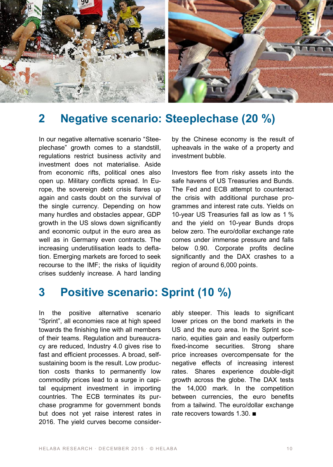

## **2 Negative scenario: Steeplechase (20 %)**

In our negative alternative scenario "Steeplechase" growth comes to a standstill, regulations restrict business activity and investment does not materialise. Aside from economic rifts, political ones also open up. Military conflicts spread. In Europe, the sovereign debt crisis flares up again and casts doubt on the survival of the single currency. Depending on how many hurdles and obstacles appear, GDP growth in the US slows down significantly and economic output in the euro area as well as in Germany even contracts. The increasing underutilisation leads to deflation. Emerging markets are forced to seek recourse to the IMF; the risks of liquidity crises suddenly increase. A hard landing by the Chinese economy is the result of upheavals in the wake of a property and investment bubble.

Investors flee from risky assets into the safe havens of US Treasuries and Bunds. The Fed and ECB attempt to counteract the crisis with additional purchase programmes and interest rate cuts. Yields on 10-year US Treasuries fall as low as 1 % and the yield on 10-year Bunds drops below zero. The euro/dollar exchange rate comes under immense pressure and falls below 0.90. Corporate profits decline significantly and the DAX crashes to a region of around 6,000 points.

## **3 Positive scenario: Sprint (10 %)**

In the positive alternative scenario "Sprint", all economies race at high speed towards the finishing line with all members of their teams. Regulation and bureaucracy are reduced, Industry 4.0 gives rise to fast and efficient processes. A broad, selfsustaining boom is the result. Low production costs thanks to permanently low commodity prices lead to a surge in capital equipment investment in importing countries. The ECB terminates its purchase programme for government bonds but does not yet raise interest rates in 2016. The yield curves become considerably steeper. This leads to significant lower prices on the bond markets in the US and the euro area. In the Sprint scenario, equities gain and easily outperform fixed-income securities. Strong share price increases overcompensate for the negative effects of increasing interest rates. Shares experience double-digit growth across the globe. The DAX tests the 14,000 mark. In the competition between currencies, the euro benefits from a tailwind. The euro/dollar exchange rate recovers towards 1.30. ■